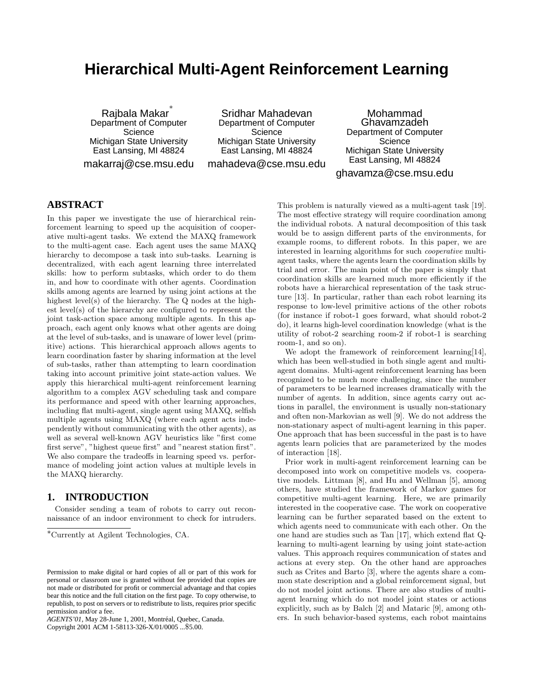# **Hierarchical Multi-Agent Reinforcement Learning**

Rajbala Makar ∗ Department of Computer **Science** Michigan State University East Lansing, MI 48824 makarraj@cse.msu.edu

Sridhar Mahadevan Department of Computer **Science** Michigan State University East Lansing, MI 48824 mahadeva@cse.msu.edu

Mohammad Ghavamzadeh Department of Computer Science Michigan State University East Lansing, MI 48824 ghavamza@cse.msu.edu

## **ABSTRACT**

In this paper we investigate the use of hierarchical reinforcement learning to speed up the acquisition of cooperative multi-agent tasks. We extend the MAXQ framework to the multi-agent case. Each agent uses the same MAXQ hierarchy to decompose a task into sub-tasks. Learning is decentralized, with each agent learning three interrelated skills: how to perform subtasks, which order to do them in, and how to coordinate with other agents. Coordination skills among agents are learned by using joint actions at the highest level(s) of the hierarchy. The Q nodes at the highest level(s) of the hierarchy are configured to represent the joint task-action space among multiple agents. In this approach, each agent only knows what other agents are doing at the level of sub-tasks, and is unaware of lower level (primitive) actions. This hierarchical approach allows agents to learn coordination faster by sharing information at the level of sub-tasks, rather than attempting to learn coordination taking into account primitive joint state-action values. We apply this hierarchical multi-agent reinforcement learning algorithm to a complex AGV scheduling task and compare its performance and speed with other learning approaches, including flat multi-agent, single agent using MAXQ, selfish multiple agents using MAXQ (where each agent acts independently without communicating with the other agents), as well as several well-known AGV heuristics like "first come first serve", "highest queue first" and "nearest station first". We also compare the tradeoffs in learning speed vs. performance of modeling joint action values at multiple levels in the MAXQ hierarchy.

## **1. INTRODUCTION**

Consider sending a team of robots to carry out reconnaissance of an indoor environment to check for intruders.

<sup>∗</sup>Currently at Agilent Technologies, CA.

*AGENTS'01*, May 28-June 1, 2001, Montréal, Quebec, Canada. Copyright 2001 ACM 1-58113-326-X/01/0005 ...\$5.00.

This problem is naturally viewed as a multi-agent task [19]. The most effective strategy will require coordination among the individual robots. A natural decomposition of this task would be to assign different parts of the environments, for example rooms, to different robots. In this paper, we are interested in learning algorithms for such cooperative multiagent tasks, where the agents learn the coordination skills by trial and error. The main point of the paper is simply that coordination skills are learned much more efficiently if the robots have a hierarchical representation of the task structure [13]. In particular, rather than each robot learning its response to low-level primitive actions of the other robots (for instance if robot-1 goes forward, what should robot-2 do), it learns high-level coordination knowledge (what is the utility of robot-2 searching room-2 if robot-1 is searching room-1, and so on).

We adopt the framework of reinforcement learning[14], which has been well-studied in both single agent and multiagent domains. Multi-agent reinforcement learning has been recognized to be much more challenging, since the number of parameters to be learned increases dramatically with the number of agents. In addition, since agents carry out actions in parallel, the environment is usually non-stationary and often non-Markovian as well [9]. We do not address the non-stationary aspect of multi-agent learning in this paper. One approach that has been successful in the past is to have agents learn policies that are parameterized by the modes of interaction [18].

Prior work in multi-agent reinforcement learning can be decomposed into work on competitive models vs. cooperative models. Littman [8], and Hu and Wellman [5], among others, have studied the framework of Markov games for competitive multi-agent learning. Here, we are primarily interested in the cooperative case. The work on cooperative learning can be further separated based on the extent to which agents need to communicate with each other. On the one hand are studies such as Tan [17], which extend flat Qlearning to multi-agent learning by using joint state-action values. This approach requires communication of states and actions at every step. On the other hand are approaches such as Crites and Barto [3], where the agents share a common state description and a global reinforcement signal, but do not model joint actions. There are also studies of multiagent learning which do not model joint states or actions explicitly, such as by Balch [2] and Mataric [9], among others. In such behavior-based systems, each robot maintains

Permission to make digital or hard copies of all or part of this work for personal or classroom use is granted without fee provided that copies are not made or distributed for profit or commercial advantage and that copies bear this notice and the full citation on the first page. To copy otherwise, to republish, to post on servers or to redistribute to lists, requires prior specific permission and/or a fee.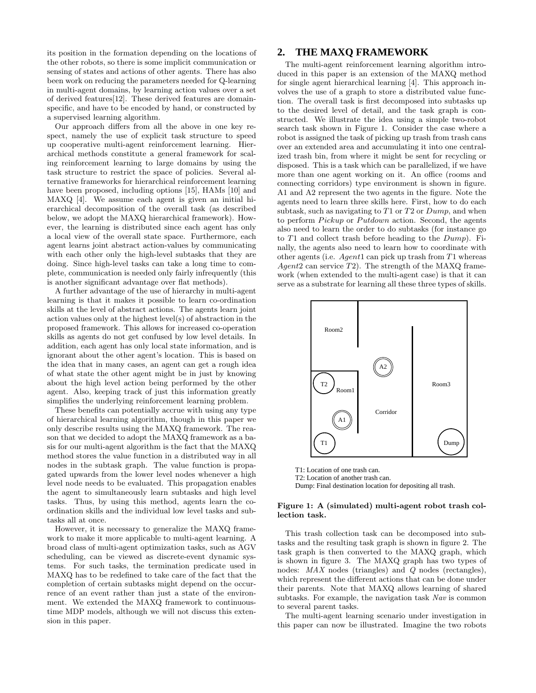its position in the formation depending on the locations of the other robots, so there is some implicit communication or sensing of states and actions of other agents. There has also been work on reducing the parameters needed for Q-learning in multi-agent domains, by learning action values over a set of derived features[12]. These derived features are domainspecific, and have to be encoded by hand, or constructed by a supervised learning algorithm.

Our approach differs from all the above in one key respect, namely the use of explicit task structure to speed up cooperative multi-agent reinforcement learning. Hierarchical methods constitute a general framework for scaling reinforcement learning to large domains by using the task structure to restrict the space of policies. Several alternative frameworks for hierarchical reinforcement learning have been proposed, including options [15], HAMs [10] and MAXQ [4]. We assume each agent is given an initial hierarchical decomposition of the overall task (as described below, we adopt the MAXQ hierarchical framework). However, the learning is distributed since each agent has only a local view of the overall state space. Furthermore, each agent learns joint abstract action-values by communicating with each other only the high-level subtasks that they are doing. Since high-level tasks can take a long time to complete, communication is needed only fairly infrequently (this is another significant advantage over flat methods).

A further advantage of the use of hierarchy in multi-agent learning is that it makes it possible to learn co-ordination skills at the level of abstract actions. The agents learn joint action values only at the highest level(s) of abstraction in the proposed framework. This allows for increased co-operation skills as agents do not get confused by low level details. In addition, each agent has only local state information, and is ignorant about the other agent's location. This is based on the idea that in many cases, an agent can get a rough idea of what state the other agent might be in just by knowing about the high level action being performed by the other agent. Also, keeping track of just this information greatly simplifies the underlying reinforcement learning problem.

These benefits can potentially accrue with using any type of hierarchical learning algorithm, though in this paper we only describe results using the MAXQ framework. The reason that we decided to adopt the MAXQ framework as a basis for our multi-agent algorithm is the fact that the MAXQ method stores the value function in a distributed way in all nodes in the subtask graph. The value function is propagated upwards from the lower level nodes whenever a high level node needs to be evaluated. This propagation enables the agent to simultaneously learn subtasks and high level tasks. Thus, by using this method, agents learn the coordination skills and the individual low level tasks and subtasks all at once.

However, it is necessary to generalize the MAXQ framework to make it more applicable to multi-agent learning. A broad class of multi-agent optimization tasks, such as AGV scheduling, can be viewed as discrete-event dynamic systems. For such tasks, the termination predicate used in MAXQ has to be redefined to take care of the fact that the completion of certain subtasks might depend on the occurrence of an event rather than just a state of the environment. We extended the MAXQ framework to continuoustime MDP models, although we will not discuss this extension in this paper.

### **2. THE MAXQ FRAMEWORK**

The multi-agent reinforcement learning algorithm introduced in this paper is an extension of the MAXQ method for single agent hierarchical learning [4]. This approach involves the use of a graph to store a distributed value function. The overall task is first decomposed into subtasks up to the desired level of detail, and the task graph is constructed. We illustrate the idea using a simple two-robot search task shown in Figure 1. Consider the case where a robot is assigned the task of picking up trash from trash cans over an extended area and accumulating it into one centralized trash bin, from where it might be sent for recycling or disposed. This is a task which can be parallelized, if we have more than one agent working on it. An office (rooms and connecting corridors) type environment is shown in figure. A1 and A2 represent the two agents in the figure. Note the agents need to learn three skills here. First, how to do each subtask, such as navigating to  $T1$  or  $T2$  or  $Dump$ , and when to perform Pickup or Putdown action. Second, the agents also need to learn the order to do subtasks (for instance go to  $T1$  and collect trash before heading to the  $Dump$ . Finally, the agents also need to learn how to coordinate with other agents (i.e.  $Agent1$  can pick up trash from T1 whereas Agent2 can service  $T2$ ). The strength of the MAXQ framework (when extended to the multi-agent case) is that it can serve as a substrate for learning all these three types of skills.



T1: Location of one trash can. T2: Location of another trash can. Dump: Final destination location for depositing all trash.

#### Figure 1: A (simulated) multi-agent robot trash collection task.

This trash collection task can be decomposed into subtasks and the resulting task graph is shown in figure 2. The task graph is then converted to the MAXQ graph, which is shown in figure 3. The MAXQ graph has two types of nodes: MAX nodes (triangles) and Q nodes (rectangles), which represent the different actions that can be done under their parents. Note that MAXQ allows learning of shared subtasks. For example, the navigation task Nav is common to several parent tasks.

The multi-agent learning scenario under investigation in this paper can now be illustrated. Imagine the two robots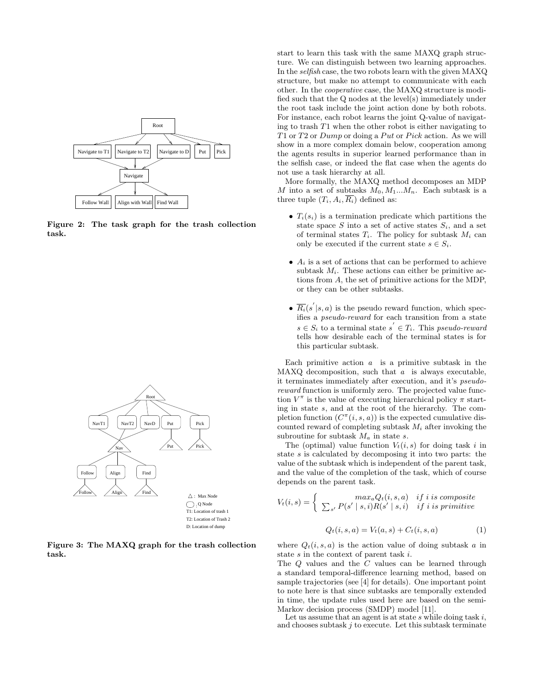

Figure 2: The task graph for the trash collection task.



Figure 3: The MAXQ graph for the trash collection task.

start to learn this task with the same MAXQ graph structure. We can distinguish between two learning approaches. In the selfish case, the two robots learn with the given MAXQ structure, but make no attempt to communicate with each other. In the cooperative case, the MAXQ structure is modified such that the Q nodes at the level(s) immediately under the root task include the joint action done by both robots. For instance, each robot learns the joint Q-value of navigating to trash  $T1$  when the other robot is either navigating to T1 or T2 or Dump or doing a Put or Pick action. As we will show in a more complex domain below, cooperation among the agents results in superior learned performance than in the selfish case, or indeed the flat case when the agents do not use a task hierarchy at all.

More formally, the MAXQ method decomposes an MDP M into a set of subtasks  $M_0, M_1...M_n$ . Each subtask is a three tuple  $(T_i, A_i, \overline{R_i})$  defined as:

- $T_i(s_i)$  is a termination predicate which partitions the state space S into a set of active states  $S_i$ , and a set of terminal states  $T_i$ . The policy for subtask  $M_i$  can only be executed if the current state  $s \in S_i$ .
- $A_i$  is a set of actions that can be performed to achieve subtask  $M_i$ . These actions can either be primitive actions from A, the set of primitive actions for the MDP, or they can be other subtasks.
- $\overline{R_i}(s'|s,a)$  is the pseudo reward function, which specifies a pseudo-reward for each transition from a state  $s \in S_i$  to a terminal state  $s' \in T_i$ . This pseudo-reward tells how desirable each of the terminal states is for this particular subtask.

Each primitive action  $a$  is a primitive subtask in the MAXQ decomposition, such that  $a$  is always executable, it terminates immediately after execution, and it's pseudoreward function is uniformly zero. The projected value function  $V^{\pi}$  is the value of executing hierarchical policy  $\pi$  starting in state s, and at the root of the hierarchy. The completion function  $(C^{\pi}(i, s, a))$  is the expected cumulative discounted reward of completing subtask  $M_i$  after invoking the subroutine for subtask  $M_a$  in state s.

The (optimal) value function  $V_t(i, s)$  for doing task i in state s is calculated by decomposing it into two parts: the value of the subtask which is independent of the parent task, and the value of the completion of the task, which of course depends on the parent task.

$$
V_t(i,s) = \begin{cases} \max_a Q_t(i,s,a) & \text{if } i \text{ is composite} \\ \sum_{s'} P(s' \mid s,i) R(s' \mid s,i) & \text{if } i \text{ is primitive} \end{cases}
$$
\n
$$
Q_t(i,s,a) = V_t(a,s) + C_t(i,s,a) \tag{1}
$$

where  $Q_t(i, s, a)$  is the action value of doing subtask a in state s in the context of parent task i.

The Q values and the C values can be learned through a standard temporal-difference learning method, based on sample trajectories (see [4] for details). One important point to note here is that since subtasks are temporally extended in time, the update rules used here are based on the semi-Markov decision process (SMDP) model [11].

Let us assume that an agent is at state s while doing task i, and chooses subtask  $j$  to execute. Let this subtask terminate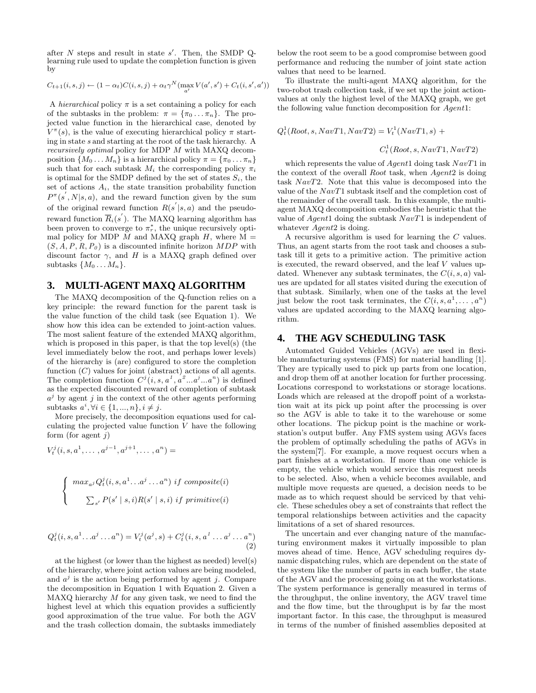after  $N$  steps and result in state  $s'$ . Then, the SMDP Qlearning rule used to update the completion function is given by

$$
C_{t+1}(i,s,j) \leftarrow (1-\alpha_t)C(i,s,j) + \alpha_t \gamma^N (\max_{a'} V(a',s') + C_t(i,s',a'))
$$

A hierarchical policy  $\pi$  is a set containing a policy for each of the subtasks in the problem:  $\pi = {\pi_0 ... \pi_n}$ . The projected value function in the hierarchical case, denoted by  $V^{\pi}(s)$ , is the value of executing hierarchical policy  $\pi$  starting in state s and starting at the root of the task hierarchy. A recursively optimal policy for MDP M with MAXQ decomposition  $\{M_0 \ldots M_n\}$  is a hierarchical policy  $\pi = \{\pi_0 \ldots \pi_n\}$ such that for each subtask  $M_i$  the corresponding policy  $\pi_i$ is optimal for the SMDP defined by the set of states  $S_i$ , the set of actions  $A_i$ , the state transition probability function  $P^{\pi}(s^{'}, N|s, a)$ , and the reward function given by the sum of the original reward function  $R(s' | s, a)$  and the pseudoreward function  $\overline{R}_i(s')$ . The MAXQ learning algorithm has been proven to converge to  $\pi_r^*$ , the unique recursively optimal policy for MDP  $M$  and MAXQ graph  $H$ , where  $M =$  $(S, A, P, R, P_0)$  is a discounted infinite horizon MDP with discount factor  $\gamma$ , and H is a MAXQ graph defined over subtasks  $\{M_0 \ldots M_n\}.$ 

## **3. MULTI-AGENT MAXQ ALGORITHM**

The MAXQ decomposition of the Q-function relies on a key principle: the reward function for the parent task is the value function of the child task (see Equation 1). We show how this idea can be extended to joint-action values. The most salient feature of the extended MAXQ algorithm, which is proposed in this paper, is that the top level(s) (the level immediately below the root, and perhaps lower levels) of the hierarchy is (are) configured to store the completion function  $(C)$  values for joint (abstract) actions of all agents. The completion function  $C^j(i, s, a^1, a^2...a^j...a^n)$  is defined as the expected discounted reward of completion of subtask  $a^j$  by agent j in the context of the other agents performing subtasks  $a^i, \forall i \in \{1, ..., n\}, i \neq j$ .

More precisely, the decomposition equations used for calculating the projected value function  $V$  have the following form (for agent  $j$ )

$$
V_t^j(i, s, a^1, \dots, a^{j-1}, a^{j+1}, \dots, a^n) =
$$

$$
\begin{cases}\n\max_{a,j} Q_t^j(i, s, a^1 \dots a^j \dots a^n) \text{ if composite}(i) \\
\sum_{s'} P(s' \mid s, i) R(s' \mid s, i) \text{ if primitive}(i)\n\end{cases}
$$

$$
Q_t^j(i, s, a^1 \dots a^j \dots a^n) = V_t^j(a^j, s) + C_t^j(i, s, a^1 \dots a^j \dots a^n)
$$
\n(2)

at the highest (or lower than the highest as needed) level(s) of the hierarchy, where joint action values are being modeled, and  $a^j$  is the action being performed by agent j. Compare the decomposition in Equation 1 with Equation 2. Given a  $MAXQ$  hierarchy  $M$  for any given task, we need to find the highest level at which this equation provides a sufficiently good approximation of the true value. For both the AGV and the trash collection domain, the subtasks immediately below the root seem to be a good compromise between good performance and reducing the number of joint state action values that need to be learned.

To illustrate the multi-agent MAXQ algorithm, for the two-robot trash collection task, if we set up the joint actionvalues at only the highest level of the MAXQ graph, we get the following value function decomposition for Agent1:

$$
Q_t^1(Root, s, NavT1, NavT2) = V_t^1(NavT1, s) +
$$

$$
C_t^1(Root, s, NavT1, NavT2)
$$

which represents the value of Agent1 doing task  $NavT1$  in the context of the overall Root task, when Agent2 is doing task NavT2. Note that this value is decomposed into the value of the  $NavT1$  subtask itself and the completion cost of the remainder of the overall task. In this example, the multiagent MAXQ decomposition embodies the heuristic that the value of Agent1 doing the subtask NavT1 is independent of whatever  $Agent2$  is doing.

A recursive algorithm is used for learning the C values. Thus, an agent starts from the root task and chooses a subtask till it gets to a primitive action. The primitive action is executed, the reward observed, and the leaf  $V$  values updated. Whenever any subtask terminates, the  $C(i, s, a)$  values are updated for all states visited during the execution of that subtask. Similarly, when one of the tasks at the level just below the root task terminates, the  $C(i, s, a^1, \ldots, a^n)$ values are updated according to the MAXQ learning algorithm.

### **4. THE AGV SCHEDULING TASK**

Automated Guided Vehicles (AGVs) are used in flexible manufacturing systems (FMS) for material handling [1]. They are typically used to pick up parts from one location, and drop them off at another location for further processing. Locations correspond to workstations or storage locations. Loads which are released at the dropoff point of a workstation wait at its pick up point after the processing is over so the AGV is able to take it to the warehouse or some other locations. The pickup point is the machine or workstation's output buffer. Any FMS system using AGVs faces the problem of optimally scheduling the paths of AGVs in the system[7]. For example, a move request occurs when a part finishes at a workstation. If more than one vehicle is empty, the vehicle which would service this request needs to be selected. Also, when a vehicle becomes available, and multiple move requests are queued, a decision needs to be made as to which request should be serviced by that vehicle. These schedules obey a set of constraints that reflect the temporal relationships between activities and the capacity limitations of a set of shared resources.

The uncertain and ever changing nature of the manufacturing environment makes it virtually impossible to plan moves ahead of time. Hence, AGV scheduling requires dynamic dispatching rules, which are dependent on the state of the system like the number of parts in each buffer, the state of the AGV and the processing going on at the workstations. The system performance is generally measured in terms of the throughput, the online inventory, the AGV travel time and the flow time, but the throughput is by far the most important factor. In this case, the throughput is measured in terms of the number of finished assemblies deposited at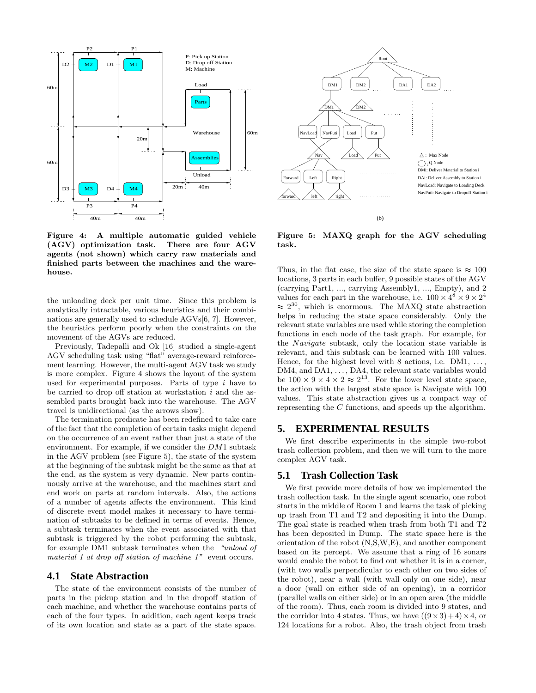

Figure 4: A multiple automatic guided vehicle (AGV) optimization task. There are four AGV agents (not shown) which carry raw materials and finished parts between the machines and the warehouse.

the unloading deck per unit time. Since this problem is analytically intractable, various heuristics and their combinations are generally used to schedule AGVs[6, 7]. However, the heuristics perform poorly when the constraints on the movement of the AGVs are reduced.

Previously, Tadepalli and Ok [16] studied a single-agent AGV scheduling task using "flat" average-reward reinforcement learning. However, the multi-agent AGV task we study is more complex. Figure 4 shows the layout of the system used for experimental purposes. Parts of type  $i$  have to be carried to drop off station at workstation  $i$  and the assembled parts brought back into the warehouse. The AGV travel is unidirectional (as the arrows show).

The termination predicate has been redefined to take care of the fact that the completion of certain tasks might depend on the occurrence of an event rather than just a state of the environment. For example, if we consider the DM1 subtask in the AGV problem (see Figure 5), the state of the system at the beginning of the subtask might be the same as that at the end, as the system is very dynamic. New parts continuously arrive at the warehouse, and the machines start and end work on parts at random intervals. Also, the actions of a number of agents affects the environment. This kind of discrete event model makes it necessary to have termination of subtasks to be defined in terms of events. Hence, a subtask terminates when the event associated with that subtask is triggered by the robot performing the subtask, for example DM1 subtask terminates when the "unload of material 1 at drop off station of machine 1" event occurs.

#### **4.1 State Abstraction**

The state of the environment consists of the number of parts in the pickup station and in the dropoff station of each machine, and whether the warehouse contains parts of each of the four types. In addition, each agent keeps track of its own location and state as a part of the state space.



Figure 5: MAXQ graph for the AGV scheduling task.

Thus, in the flat case, the size of the state space is  $\approx 100$ locations, 3 parts in each buffer, 9 possible states of the AGV (carrying Part1, ..., carrying Assembly1, ..., Empty), and 2 values for each part in the warehouse, i.e.  $100 \times 4^8 \times 9 \times 2^4$  $\approx 2^{30}$ , which is enormous. The MAXQ state abstraction helps in reducing the state space considerably. Only the relevant state variables are used while storing the completion functions in each node of the task graph. For example, for the Navigate subtask, only the location state variable is relevant, and this subtask can be learned with 100 values. Hence, for the highest level with 8 actions, i.e.  $DM1, \ldots$ DM4, and DA1, ..., DA4, the relevant state variables would be  $100 \times 9 \times 4 \times 2 \approx 2^{13}$ . For the lower level state space, the action with the largest state space is Navigate with 100 values. This state abstraction gives us a compact way of representing the C functions, and speeds up the algorithm.

#### **5. EXPERIMENTAL RESULTS**

We first describe experiments in the simple two-robot trash collection problem, and then we will turn to the more complex AGV task.

### **5.1 Trash Collection Task**

We first provide more details of how we implemented the trash collection task. In the single agent scenario, one robot starts in the middle of Room 1 and learns the task of picking up trash from T1 and T2 and depositing it into the Dump. The goal state is reached when trash from both T1 and T2 has been deposited in Dump. The state space here is the orientation of the robot (N,S,W,E), and another component based on its percept. We assume that a ring of 16 sonars would enable the robot to find out whether it is in a corner, (with two walls perpendicular to each other on two sides of the robot), near a wall (with wall only on one side), near a door (wall on either side of an opening), in a corridor (parallel walls on either side) or in an open area (the middle of the room). Thus, each room is divided into 9 states, and the corridor into 4 states. Thus, we have  $((9 \times 3) + 4) \times 4$ , or 124 locations for a robot. Also, the trash object from trash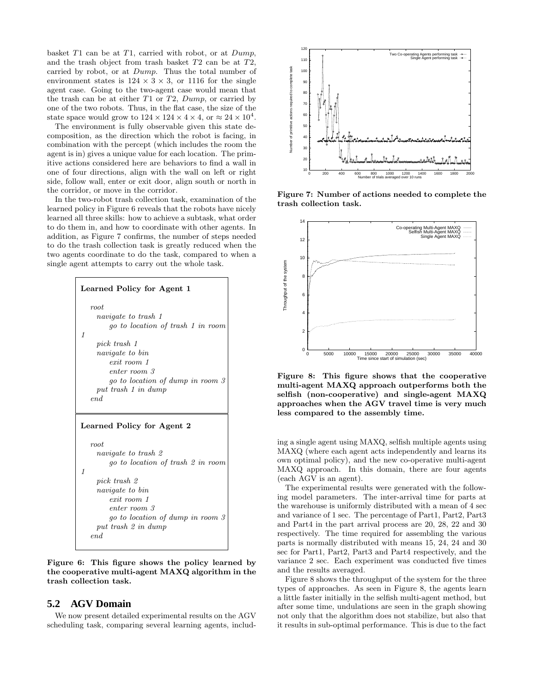basket  $T1$  can be at  $T1$ , carried with robot, or at  $Dump$ , and the trash object from trash basket T2 can be at T2, carried by robot, or at Dump. Thus the total number of environment states is  $124 \times 3 \times 3$ , or 1116 for the single agent case. Going to the two-agent case would mean that the trash can be at either  $T1$  or  $T2$ ,  $Dump$ , or carried by one of the two robots. Thus, in the flat case, the size of the state space would grow to  $124 \times 124 \times 4 \times 4$ , or  $\approx 24 \times 10^4$ .

The environment is fully observable given this state decomposition, as the direction which the robot is facing, in combination with the percept (which includes the room the agent is in) gives a unique value for each location. The primitive actions considered here are behaviors to find a wall in one of four directions, align with the wall on left or right side, follow wall, enter or exit door, align south or north in the corridor, or move in the corridor.

In the two-robot trash collection task, examination of the learned policy in Figure 6 reveals that the robots have nicely learned all three skills: how to achieve a subtask, what order to do them in, and how to coordinate with other agents. In addition, as Figure 7 confirms, the number of steps needed to do the trash collection task is greatly reduced when the two agents coordinate to do the task, compared to when a single agent attempts to carry out the whole task.



Figure 6: This figure shows the policy learned by the cooperative multi-agent MAXQ algorithm in the trash collection task.

## **5.2 AGV Domain**

We now present detailed experimental results on the AGV scheduling task, comparing several learning agents, includ-



Figure 7: Number of actions needed to complete the trash collection task.



Figure 8: This figure shows that the cooperative multi-agent MAXQ approach outperforms both the selfish (non-cooperative) and single-agent MAXQ approaches when the AGV travel time is very much less compared to the assembly time.

ing a single agent using MAXQ, selfish multiple agents using MAXQ (where each agent acts independently and learns its own optimal policy), and the new co-operative multi-agent MAXQ approach. In this domain, there are four agents (each AGV is an agent).

The experimental results were generated with the following model parameters. The inter-arrival time for parts at the warehouse is uniformly distributed with a mean of 4 sec and variance of 1 sec. The percentage of Part1, Part2, Part3 and Part4 in the part arrival process are 20, 28, 22 and 30 respectively. The time required for assembling the various parts is normally distributed with means 15, 24, 24 and 30 sec for Part1, Part2, Part3 and Part4 respectively, and the variance 2 sec. Each experiment was conducted five times and the results averaged.

Figure 8 shows the throughput of the system for the three types of approaches. As seen in Figure 8, the agents learn a little faster initially in the selfish multi-agent method, but after some time, undulations are seen in the graph showing not only that the algorithm does not stabilize, but also that it results in sub-optimal performance. This is due to the fact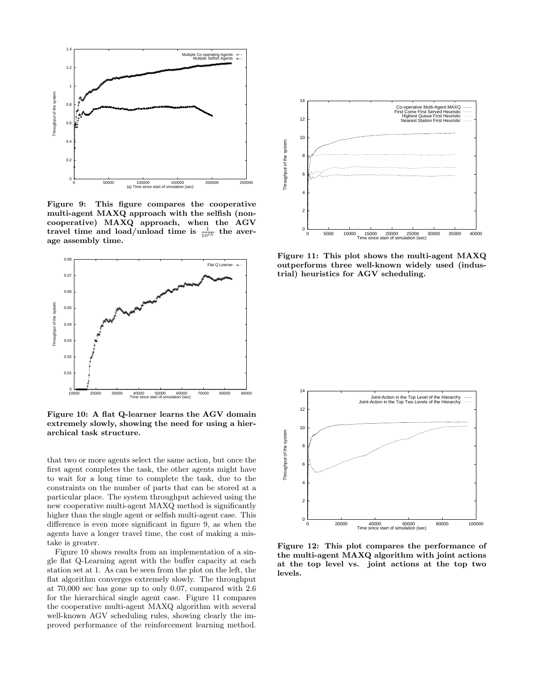

Figure 9: This figure compares the cooperative multi-agent MAXQ approach with the selfish (noncooperative) MAXQ approach, when the AGV travel time and load/unload time is  $\frac{1}{10^{th}}$  the average assembly time.



Figure 10: A flat Q-learner learns the AGV domain extremely slowly, showing the need for using a hierarchical task structure.

that two or more agents select the same action, but once the first agent completes the task, the other agents might have to wait for a long time to complete the task, due to the constraints on the number of parts that can be stored at a particular place. The system throughput achieved using the new cooperative multi-agent MAXQ method is significantly higher than the single agent or selfish multi-agent case. This difference is even more significant in figure 9, as when the agents have a longer travel time, the cost of making a mistake is greater.

Figure 10 shows results from an implementation of a single flat Q-Learning agent with the buffer capacity at each station set at 1. As can be seen from the plot on the left, the flat algorithm converges extremely slowly. The throughput at 70,000 sec has gone up to only 0.07, compared with 2.6 for the hierarchical single agent case. Figure 11 compares the cooperative multi-agent MAXQ algorithm with several well-known AGV scheduling rules, showing clearly the improved performance of the reinforcement learning method.



Figure 11: This plot shows the multi-agent MAXQ outperforms three well-known widely used (industrial) heuristics for AGV scheduling.



Figure 12: This plot compares the performance of the multi-agent MAXQ algorithm with joint actions at the top level vs. joint actions at the top two levels.